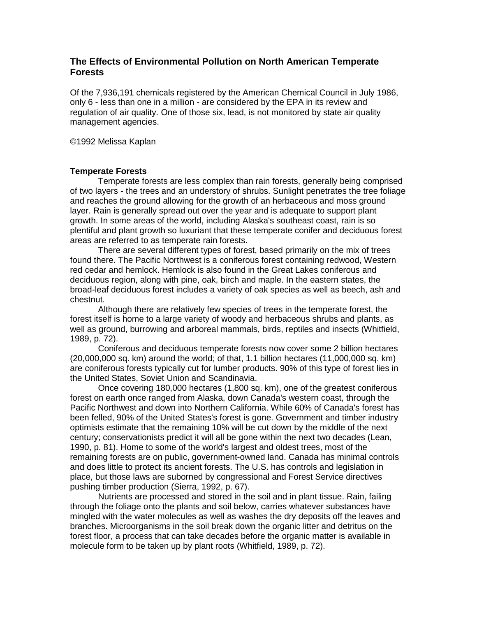# **The Effects of Environmental Pollution on North American Temperate Forests**

Of the 7,936,191 chemicals registered by the American Chemical Council in July 1986, only 6 - less than one in a million - are considered by the EPA in its review and regulation of air quality. One of those six, lead, is not monitored by state air quality management agencies.

©1992 Melissa Kaplan

# **Temperate Forests**

Temperate forests are less complex than rain forests, generally being comprised of two layers - the trees and an understory of shrubs. Sunlight penetrates the tree foliage and reaches the ground allowing for the growth of an herbaceous and moss ground layer. Rain is generally spread out over the year and is adequate to support plant growth. In some areas of the world, including Alaska's southeast coast, rain is so plentiful and plant growth so luxuriant that these temperate conifer and deciduous forest areas are referred to as temperate rain forests.

There are several different types of forest, based primarily on the mix of trees found there. The Pacific Northwest is a coniferous forest containing redwood, Western red cedar and hemlock. Hemlock is also found in the Great Lakes coniferous and deciduous region, along with pine, oak, birch and maple. In the eastern states, the broad-leaf deciduous forest includes a variety of oak species as well as beech, ash and chestnut.

Although there are relatively few species of trees in the temperate forest, the forest itself is home to a large variety of woody and herbaceous shrubs and plants, as well as ground, burrowing and arboreal mammals, birds, reptiles and insects (Whitfield, 1989, p. 72).

Coniferous and deciduous temperate forests now cover some 2 billion hectares (20,000,000 sq. km) around the world; of that, 1.1 billion hectares (11,000,000 sq. km) are coniferous forests typically cut for lumber products. 90% of this type of forest lies in the United States, Soviet Union and Scandinavia.

Once covering 180,000 hectares (1,800 sq. km), one of the greatest coniferous forest on earth once ranged from Alaska, down Canada's western coast, through the Pacific Northwest and down into Northern California. While 60% of Canada's forest has been felled, 90% of the United States's forest is gone. Government and timber industry optimists estimate that the remaining 10% will be cut down by the middle of the next century; conservationists predict it will all be gone within the next two decades (Lean, 1990, p. 81). Home to some of the world's largest and oldest trees, most of the remaining forests are on public, government-owned land. Canada has minimal controls and does little to protect its ancient forests. The U.S. has controls and legislation in place, but those laws are suborned by congressional and Forest Service directives pushing timber production (Sierra, 1992, p. 67).

Nutrients are processed and stored in the soil and in plant tissue. Rain, failing through the foliage onto the plants and soil below, carries whatever substances have mingled with the water molecules as well as washes the dry deposits off the leaves and branches. Microorganisms in the soil break down the organic litter and detritus on the forest floor, a process that can take decades before the organic matter is available in molecule form to be taken up by plant roots (Whitfield, 1989, p. 72).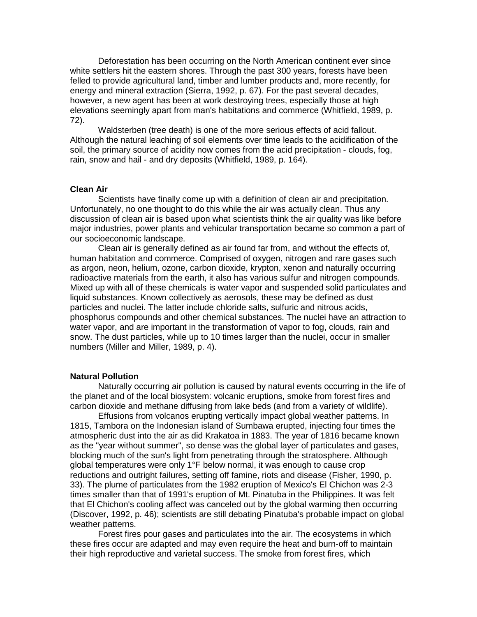Deforestation has been occurring on the North American continent ever since white settlers hit the eastern shores. Through the past 300 years, forests have been felled to provide agricultural land, timber and lumber products and, more recently, for energy and mineral extraction (Sierra, 1992, p. 67). For the past several decades, however, a new agent has been at work destroying trees, especially those at high elevations seemingly apart from man's habitations and commerce (Whitfield, 1989, p. 72).

Waldsterben (tree death) is one of the more serious effects of acid fallout. Although the natural leaching of soil elements over time leads to the acidification of the soil, the primary source of acidity now comes from the acid precipitation - clouds, fog, rain, snow and hail - and dry deposits (Whitfield, 1989, p. 164).

#### **Clean Air**

Scientists have finally come up with a definition of clean air and precipitation. Unfortunately, no one thought to do this while the air was actually clean. Thus any discussion of clean air is based upon what scientists think the air quality was like before major industries, power plants and vehicular transportation became so common a part of our socioeconomic landscape.

Clean air is generally defined as air found far from, and without the effects of, human habitation and commerce. Comprised of oxygen, nitrogen and rare gases such as argon, neon, helium, ozone, carbon dioxide, krypton, xenon and naturally occurring radioactive materials from the earth, it also has various sulfur and nitrogen compounds. Mixed up with all of these chemicals is water vapor and suspended solid particulates and liquid substances. Known collectively as aerosols, these may be defined as dust particles and nuclei. The latter include chloride salts, sulfuric and nitrous acids, phosphorus compounds and other chemical substances. The nuclei have an attraction to water vapor, and are important in the transformation of vapor to fog, clouds, rain and snow. The dust particles, while up to 10 times larger than the nuclei, occur in smaller numbers (Miller and Miller, 1989, p. 4).

#### **Natural Pollution**

Naturally occurring air pollution is caused by natural events occurring in the life of the planet and of the local biosystem: volcanic eruptions, smoke from forest fires and carbon dioxide and methane diffusing from lake beds (and from a variety of wildlife).

Effusions from volcanos erupting vertically impact global weather patterns. In 1815, Tambora on the Indonesian island of Sumbawa erupted, injecting four times the atmospheric dust into the air as did Krakatoa in 1883. The year of 1816 became known as the "year without summer", so dense was the global layer of particulates and gases, blocking much of the sun's light from penetrating through the stratosphere. Although global temperatures were only 1°F below normal, it was enough to cause crop reductions and outright failures, setting off famine, riots and disease (Fisher, 1990, p. 33). The plume of particulates from the 1982 eruption of Mexico's El Chichon was 2-3 times smaller than that of 1991's eruption of Mt. Pinatuba in the Philippines. It was felt that El Chichon's cooling affect was canceled out by the global warming then occurring (Discover, 1992, p. 46); scientists are still debating Pinatuba's probable impact on global weather patterns.

Forest fires pour gases and particulates into the air. The ecosystems in which these fires occur are adapted and may even require the heat and burn-off to maintain their high reproductive and varietal success. The smoke from forest fires, which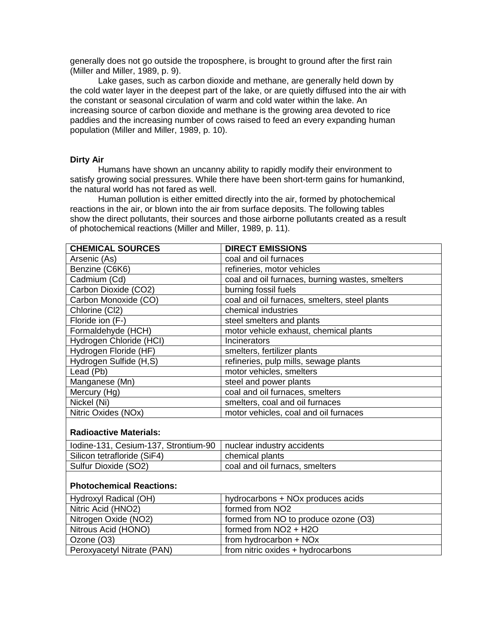generally does not go outside the troposphere, is brought to ground after the first rain (Miller and Miller, 1989, p. 9).

Lake gases, such as carbon dioxide and methane, are generally held down by the cold water layer in the deepest part of the lake, or are quietly diffused into the air with the constant or seasonal circulation of warm and cold water within the lake. An increasing source of carbon dioxide and methane is the growing area devoted to rice paddies and the increasing number of cows raised to feed an every expanding human population (Miller and Miller, 1989, p. 10).

## **Dirty Air**

Humans have shown an uncanny ability to rapidly modify their environment to satisfy growing social pressures. While there have been short-term gains for humankind, the natural world has not fared as well.

Human pollution is either emitted directly into the air, formed by photochemical reactions in the air, or blown into the air from surface deposits. The following tables show the direct pollutants, their sources and those airborne pollutants created as a result of photochemical reactions (Miller and Miller, 1989, p. 11).

| <b>CHEMICAL SOURCES</b>              | <b>DIRECT EMISSIONS</b>                         |  |
|--------------------------------------|-------------------------------------------------|--|
| Arsenic (As)                         | coal and oil furnaces                           |  |
| Benzine (C6K6)                       | refineries, motor vehicles                      |  |
| Cadmium (Cd)                         | coal and oil furnaces, burning wastes, smelters |  |
| Carbon Dioxide (CO2)                 | burning fossil fuels                            |  |
| Carbon Monoxide (CO)                 | coal and oil furnaces, smelters, steel plants   |  |
| Chlorine (Cl2)                       | chemical industries                             |  |
| Floride ion (F-)                     | steel smelters and plants                       |  |
| Formaldehyde (HCH)                   | motor vehicle exhaust, chemical plants          |  |
| Hydrogen Chloride (HCI)              | Incinerators                                    |  |
| Hydrogen Floride (HF)                | smelters, fertilizer plants                     |  |
| Hydrogen Sulfide (H,S)               | refineries, pulp mills, sewage plants           |  |
| Lead (Pb)                            | motor vehicles, smelters                        |  |
| Manganese (Mn)                       | steel and power plants                          |  |
| Mercury (Hg)                         | coal and oil furnaces, smelters                 |  |
| Nickel (Ni)                          | smelters, coal and oil furnaces                 |  |
| Nitric Oxides (NOx)                  | motor vehicles, coal and oil furnaces           |  |
| <b>Radioactive Materials:</b>        |                                                 |  |
| Iodine-131, Cesium-137, Strontium-90 | nuclear industry accidents                      |  |
| Silicon tetrafloride (SiF4)          | chemical plants                                 |  |
| Sulfur Dioxide (SO2)                 | coal and oil furnacs, smelters                  |  |
|                                      |                                                 |  |

# **Photochemical Reactions:**

| Hydroxyl Radical (OH)      | hydrocarbons + NOx produces acids    |
|----------------------------|--------------------------------------|
| Nitric Acid (HNO2)         | formed from NO <sub>2</sub>          |
| Nitrogen Oxide (NO2)       | formed from NO to produce ozone (O3) |
| Nitrous Acid (HONO)        | formed from NO2 + H2O                |
| Ozone (O3)                 | from hydrocarbon + NOx               |
| Peroxyacetyl Nitrate (PAN) | from nitric oxides + hydrocarbons    |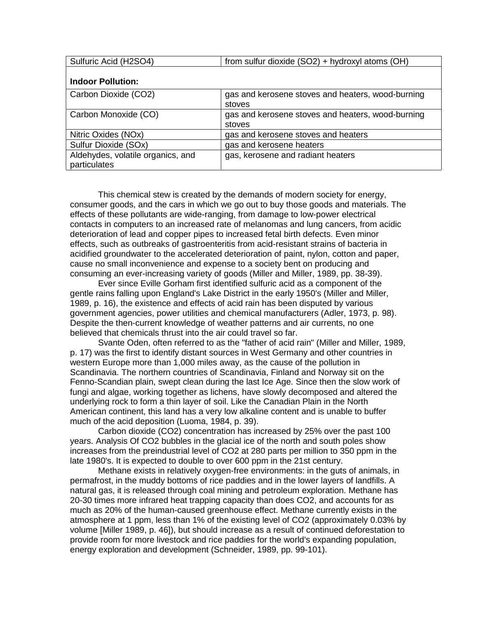| Sulfuric Acid (H2SO4)             | from sulfur dioxide (SO2) + hydroxyl atoms (OH)   |
|-----------------------------------|---------------------------------------------------|
| <b>Indoor Pollution:</b>          |                                                   |
|                                   |                                                   |
| Carbon Dioxide (CO2)              | gas and kerosene stoves and heaters, wood-burning |
|                                   | stoves                                            |
| Carbon Monoxide (CO)              | gas and kerosene stoves and heaters, wood-burning |
|                                   | stoves                                            |
| Nitric Oxides (NOx)               | gas and kerosene stoves and heaters               |
| Sulfur Dioxide (SOx)              | gas and kerosene heaters                          |
| Aldehydes, volatile organics, and | gas, kerosene and radiant heaters                 |
| particulates                      |                                                   |

This chemical stew is created by the demands of modern society for energy, consumer goods, and the cars in which we go out to buy those goods and materials. The effects of these pollutants are wide-ranging, from damage to low-power electrical contacts in computers to an increased rate of melanomas and lung cancers, from acidic deterioration of lead and copper pipes to increased fetal birth defects. Even minor effects, such as outbreaks of gastroenteritis from acid-resistant strains of bacteria in acidified groundwater to the accelerated deterioration of paint, nylon, cotton and paper, cause no small inconvenience and expense to a society bent on producing and consuming an ever-increasing variety of goods (Miller and Miller, 1989, pp. 38-39).

Ever since Eville Gorham first identified sulfuric acid as a component of the gentle rains falling upon England's Lake District in the early 1950's (Miller and Miller, 1989, p. 16), the existence and effects of acid rain has been disputed by various government agencies, power utilities and chemical manufacturers (Adler, 1973, p. 98). Despite the then-current knowledge of weather patterns and air currents, no one believed that chemicals thrust into the air could travel so far.

Svante Oden, often referred to as the "father of acid rain" (Miller and Miller, 1989, p. 17) was the first to identify distant sources in West Germany and other countries in western Europe more than 1,000 miles away, as the cause of the pollution in Scandinavia. The northern countries of Scandinavia, Finland and Norway sit on the Fenno-Scandian plain, swept clean during the last Ice Age. Since then the slow work of fungi and algae, working together as lichens, have slowly decomposed and altered the underlying rock to form a thin layer of soil. Like the Canadian Plain in the North American continent, this land has a very low alkaline content and is unable to buffer much of the acid deposition (Luoma, 1984, p. 39).

Carbon dioxide (CO2) concentration has increased by 25% over the past 100 years. Analysis Of CO2 bubbles in the glacial ice of the north and south poles show increases from the preindustrial level of CO2 at 280 parts per million to 350 ppm in the late 1980's. It is expected to double to over 600 ppm in the 21st century.

Methane exists in relatively oxygen-free environments: in the guts of animals, in permafrost, in the muddy bottoms of rice paddies and in the lower layers of landfills. A natural gas, it is released through coal mining and petroleum exploration. Methane has 20-30 times more infrared heat trapping capacity than does CO2, and accounts for as much as 20% of the human-caused greenhouse effect. Methane currently exists in the atmosphere at 1 ppm, less than 1% of the existing level of CO2 (approximately 0.03% by volume [Miller 1989, p. 46]), but should increase as a result of continued deforestation to provide room for more livestock and rice paddies for the world's expanding population, energy exploration and development (Schneider, 1989, pp. 99-101).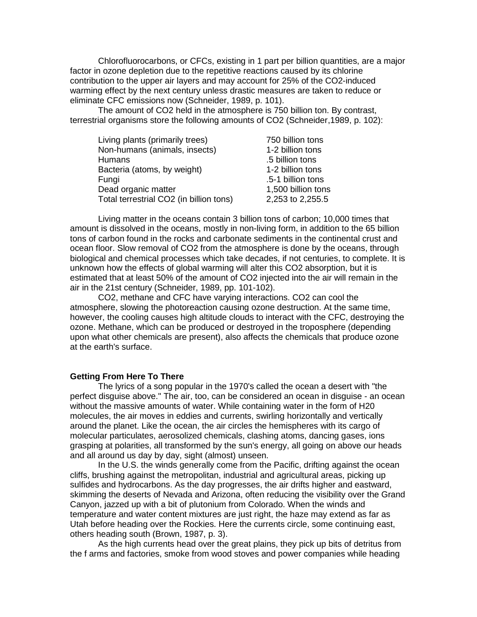Chlorofluorocarbons, or CFCs, existing in 1 part per billion quantities, are a major factor in ozone depletion due to the repetitive reactions caused by its chlorine contribution to the upper air layers and may account for 25% of the CO2-induced warming effect by the next century unless drastic measures are taken to reduce or eliminate CFC emissions now (Schneider, 1989, p. 101).

The amount of CO2 held in the atmosphere is 750 billion ton. By contrast, terrestrial organisms store the following amounts of CO2 (Schneider,1989, p. 102):

| Living plants (primarily trees)         | 750 billion tons   |
|-----------------------------------------|--------------------|
| Non-humans (animals, insects)           | 1-2 billion tons   |
| <b>Humans</b>                           | .5 billion tons    |
| Bacteria (atoms, by weight)             | 1-2 billion tons   |
| Fungi                                   | .5-1 billion tons  |
| Dead organic matter                     | 1,500 billion tons |
| Total terrestrial CO2 (in billion tons) | 2,253 to 2,255.5   |

Living matter in the oceans contain 3 billion tons of carbon; 10,000 times that amount is dissolved in the oceans, mostly in non-living form, in addition to the 65 billion tons of carbon found in the rocks and carbonate sediments in the continental crust and ocean floor. Slow removal of CO2 from the atmosphere is done by the oceans, through biological and chemical processes which take decades, if not centuries, to complete. It is unknown how the effects of global warming will alter this CO2 absorption, but it is estimated that at least 50% of the amount of CO2 injected into the air will remain in the air in the 21st century (Schneider, 1989, pp. 101-102).

CO2, methane and CFC have varying interactions. CO2 can cool the atmosphere, slowing the photoreaction causing ozone destruction. At the same time, however, the cooling causes high altitude clouds to interact with the CFC, destroying the ozone. Methane, which can be produced or destroyed in the troposphere (depending upon what other chemicals are present), also affects the chemicals that produce ozone at the earth's surface.

#### **Getting From Here To There**

The lyrics of a song popular in the 1970's called the ocean a desert with "the perfect disguise above." The air, too, can be considered an ocean in disguise - an ocean without the massive amounts of water. While containing water in the form of H20 molecules, the air moves in eddies and currents, swirling horizontally and vertically around the planet. Like the ocean, the air circles the hemispheres with its cargo of molecular particulates, aerosolized chemicals, clashing atoms, dancing gases, ions grasping at polarities, all transformed by the sun's energy, all going on above our heads and all around us day by day, sight (almost) unseen.

In the U.S. the winds generally come from the Pacific, drifting against the ocean cliffs, brushing against the metropolitan, industrial and agricultural areas, picking up sulfides and hydrocarbons. As the day progresses, the air drifts higher and eastward, skimming the deserts of Nevada and Arizona, often reducing the visibility over the Grand Canyon, jazzed up with a bit of plutonium from Colorado. When the winds and temperature and water content mixtures are just right, the haze may extend as far as Utah before heading over the Rockies. Here the currents circle, some continuing east, others heading south (Brown, 1987, p. 3).

As the high currents head over the great plains, they pick up bits of detritus from the f arms and factories, smoke from wood stoves and power companies while heading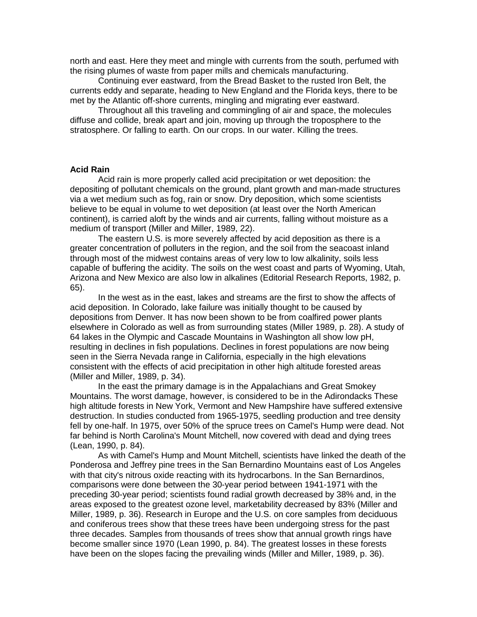north and east. Here they meet and mingle with currents from the south, perfumed with the rising plumes of waste from paper mills and chemicals manufacturing.

Continuing ever eastward, from the Bread Basket to the rusted Iron Belt, the currents eddy and separate, heading to New England and the Florida keys, there to be met by the Atlantic off-shore currents, mingling and migrating ever eastward.

Throughout all this traveling and commingling of air and space, the molecules diffuse and collide, break apart and join, moving up through the troposphere to the stratosphere. Or falling to earth. On our crops. In our water. Killing the trees.

#### **Acid Rain**

Acid rain is more properly called acid precipitation or wet deposition: the depositing of pollutant chemicals on the ground, plant growth and man-made structures via a wet medium such as fog, rain or snow. Dry deposition, which some scientists believe to be equal in volume to wet deposition (at least over the North American continent), is carried aloft by the winds and air currents, falling without moisture as a medium of transport (Miller and Miller, 1989, 22).

The eastern U.S. is more severely affected by acid deposition as there is a greater concentration of polluters in the region, and the soil from the seacoast inland through most of the midwest contains areas of very low to low alkalinity, soils less capable of buffering the acidity. The soils on the west coast and parts of Wyoming, Utah, Arizona and New Mexico are also low in alkalines (Editorial Research Reports, 1982, p. 65).

In the west as in the east, lakes and streams are the first to show the affects of acid deposition. In Colorado, lake failure was initially thought to be caused by depositions from Denver. It has now been shown to be from coalfired power plants elsewhere in Colorado as well as from surrounding states (Miller 1989, p. 28). A study of 64 lakes in the Olympic and Cascade Mountains in Washington all show low pH, resulting in declines in fish populations. Declines in forest populations are now being seen in the Sierra Nevada range in California, especially in the high elevations consistent with the effects of acid precipitation in other high altitude forested areas (Miller and Miller, 1989, p. 34).

In the east the primary damage is in the Appalachians and Great Smokey Mountains. The worst damage, however, is considered to be in the Adirondacks These high altitude forests in New York, Vermont and New Hampshire have suffered extensive destruction. In studies conducted from 1965-1975, seedling production and tree density fell by one-half. In 1975, over 50% of the spruce trees on Camel's Hump were dead. Not far behind is North Carolina's Mount Mitchell, now covered with dead and dying trees (Lean, 1990, p. 84).

As with Camel's Hump and Mount Mitchell, scientists have linked the death of the Ponderosa and Jeffrey pine trees in the San Bernardino Mountains east of Los Angeles with that city's nitrous oxide reacting with its hydrocarbons. In the San Bernardinos, comparisons were done between the 30-year period between 1941-1971 with the preceding 30-year period; scientists found radial growth decreased by 38% and, in the areas exposed to the greatest ozone level, marketability decreased by 83% (Miller and Miller, 1989, p. 36). Research in Europe and the U.S. on core samples from deciduous and coniferous trees show that these trees have been undergoing stress for the past three decades. Samples from thousands of trees show that annual growth rings have become smaller since 1970 (Lean 1990, p. 84). The greatest losses in these forests have been on the slopes facing the prevailing winds (Miller and Miller, 1989, p. 36).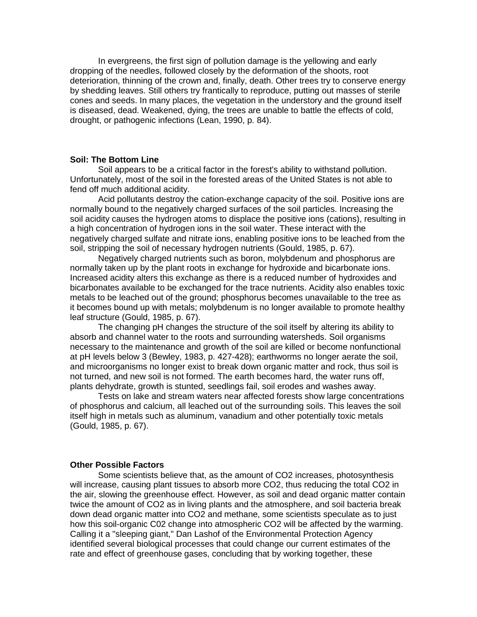In evergreens, the first sign of pollution damage is the yellowing and early dropping of the needles, followed closely by the deformation of the shoots, root deterioration, thinning of the crown and, finally, death. Other trees try to conserve energy by shedding leaves. Still others try frantically to reproduce, putting out masses of sterile cones and seeds. In many places, the vegetation in the understory and the ground itself is diseased, dead. Weakened, dying, the trees are unable to battle the effects of cold, drought, or pathogenic infections (Lean, 1990, p. 84).

#### **Soil: The Bottom Line**

Soil appears to be a critical factor in the forest's ability to withstand pollution. Unfortunately, most of the soil in the forested areas of the United States is not able to fend off much additional acidity.

Acid pollutants destroy the cation-exchange capacity of the soil. Positive ions are normally bound to the negatively charged surfaces of the soil particles. Increasing the soil acidity causes the hydrogen atoms to displace the positive ions (cations), resulting in a high concentration of hydrogen ions in the soil water. These interact with the negatively charged sulfate and nitrate ions, enabling positive ions to be leached from the soil, stripping the soil of necessary hydrogen nutrients (Gould, 1985, p. 67).

Negatively charged nutrients such as boron, molybdenum and phosphorus are normally taken up by the plant roots in exchange for hydroxide and bicarbonate ions. Increased acidity alters this exchange as there is a reduced number of hydroxides and bicarbonates available to be exchanged for the trace nutrients. Acidity also enables toxic metals to be leached out of the ground; phosphorus becomes unavailable to the tree as it becomes bound up with metals; molybdenum is no longer available to promote healthy leaf structure (Gould, 1985, p. 67).

The changing pH changes the structure of the soil itself by altering its ability to absorb and channel water to the roots and surrounding watersheds. Soil organisms necessary to the maintenance and growth of the soil are killed or become nonfunctional at pH levels below 3 (Bewley, 1983, p. 427-428); earthworms no longer aerate the soil, and microorganisms no longer exist to break down organic matter and rock, thus soil is not turned, and new soil is not formed. The earth becomes hard, the water runs off, plants dehydrate, growth is stunted, seedlings fail, soil erodes and washes away.

Tests on lake and stream waters near affected forests show large concentrations of phosphorus and calcium, all leached out of the surrounding soils. This leaves the soil itself high in metals such as aluminum, vanadium and other potentially toxic metals (Gould, 1985, p. 67).

#### **Other Possible Factors**

Some scientists believe that, as the amount of CO2 increases, photosynthesis will increase, causing plant tissues to absorb more CO2, thus reducing the total CO2 in the air, slowing the greenhouse effect. However, as soil and dead organic matter contain twice the amount of CO2 as in living plants and the atmosphere, and soil bacteria break down dead organic matter into CO2 and methane, some scientists speculate as to just how this soil-organic C02 change into atmospheric CO2 will be affected by the warming. Calling it a "sleeping giant," Dan Lashof of the Environmental Protection Agency identified several biological processes that could change our current estimates of the rate and effect of greenhouse gases, concluding that by working together, these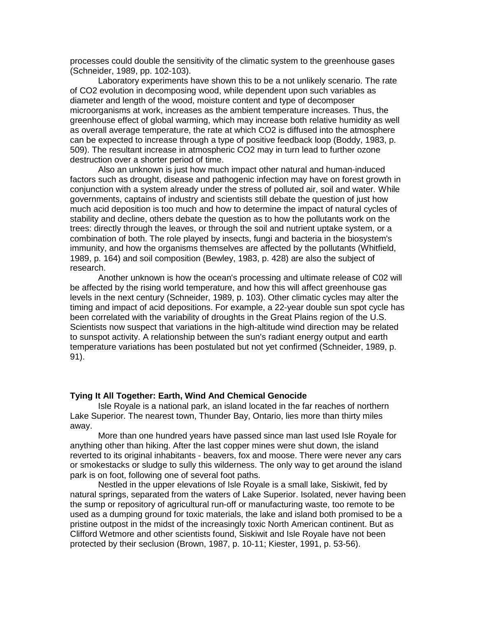processes could double the sensitivity of the climatic system to the greenhouse gases (Schneider, 1989, pp. 102-103).

Laboratory experiments have shown this to be a not unlikely scenario. The rate of CO2 evolution in decomposing wood, while dependent upon such variables as diameter and length of the wood, moisture content and type of decomposer microorganisms at work, increases as the ambient temperature increases. Thus, the greenhouse effect of global warming, which may increase both relative humidity as well as overall average temperature, the rate at which CO2 is diffused into the atmosphere can be expected to increase through a type of positive feedback loop (Boddy, 1983, p. 509). The resultant increase in atmospheric CO2 may in turn lead to further ozone destruction over a shorter period of time.

Also an unknown is just how much impact other natural and human-induced factors such as drought, disease and pathogenic infection may have on forest growth in conjunction with a system already under the stress of polluted air, soil and water. While governments, captains of industry and scientists still debate the question of just how much acid deposition is too much and how to determine the impact of natural cycles of stability and decline, others debate the question as to how the pollutants work on the trees: directly through the leaves, or through the soil and nutrient uptake system, or a combination of both. The role played by insects, fungi and bacteria in the biosystem's immunity, and how the organisms themselves are affected by the pollutants (Whitfield, 1989, p. 164) and soil composition (Bewley, 1983, p. 428) are also the subject of research.

Another unknown is how the ocean's processing and ultimate release of C02 will be affected by the rising world temperature, and how this will affect greenhouse gas levels in the next century (Schneider, 1989, p. 103). Other climatic cycles may alter the timing and impact of acid depositions. For example, a 22-year double sun spot cycle has been correlated with the variability of droughts in the Great Plains region of the U.S. Scientists now suspect that variations in the high-altitude wind direction may be related to sunspot activity. A relationship between the sun's radiant energy output and earth temperature variations has been postulated but not yet confirmed (Schneider, 1989, p. 91).

## **Tying It All Together: Earth, Wind And Chemical Genocide**

Isle Royale is a national park, an island located in the far reaches of northern Lake Superior. The nearest town, Thunder Bay, Ontario, lies more than thirty miles away.

More than one hundred years have passed since man last used Isle Royale for anything other than hiking. After the last copper mines were shut down, the island reverted to its original inhabitants - beavers, fox and moose. There were never any cars or smokestacks or sludge to sully this wilderness. The only way to get around the island park is on foot, following one of several foot paths.

Nestled in the upper elevations of Isle Royale is a small lake, Siskiwit, fed by natural springs, separated from the waters of Lake Superior. Isolated, never having been the sump or repository of agricultural run-off or manufacturing waste, too remote to be used as a dumping ground for toxic materials, the lake and island both promised to be a pristine outpost in the midst of the increasingly toxic North American continent. But as Clifford Wetmore and other scientists found, Siskiwit and Isle Royale have not been protected by their seclusion (Brown, 1987, p. 10-11; Kiester, 1991, p. 53-56).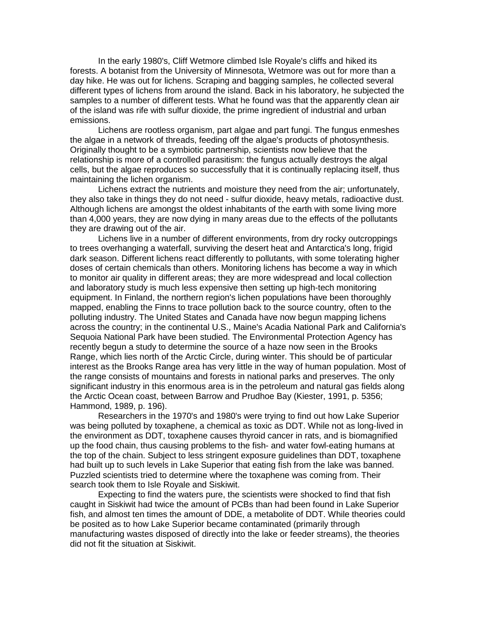In the early 1980's, Cliff Wetmore climbed Isle Royale's cliffs and hiked its forests. A botanist from the University of Minnesota, Wetmore was out for more than a day hike. He was out for lichens. Scraping and bagging samples, he collected several different types of lichens from around the island. Back in his laboratory, he subjected the samples to a number of different tests. What he found was that the apparently clean air of the island was rife with sulfur dioxide, the prime ingredient of industrial and urban emissions.

Lichens are rootless organism, part algae and part fungi. The fungus enmeshes the algae in a network of threads, feeding off the algae's products of photosynthesis. Originally thought to be a symbiotic partnership, scientists now believe that the relationship is more of a controlled parasitism: the fungus actually destroys the algal cells, but the algae reproduces so successfully that it is continually replacing itself, thus maintaining the lichen organism.

Lichens extract the nutrients and moisture they need from the air; unfortunately, they also take in things they do not need - sulfur dioxide, heavy metals, radioactive dust. Although lichens are amongst the oldest inhabitants of the earth with some living more than 4,000 years, they are now dying in many areas due to the effects of the pollutants they are drawing out of the air.

Lichens live in a number of different environments, from dry rocky outcroppings to trees overhanging a waterfall, surviving the desert heat and Antarctica's long, frigid dark season. Different lichens react differently to pollutants, with some tolerating higher doses of certain chemicals than others. Monitoring lichens has become a way in which to monitor air quality in different areas; they are more widespread and local collection and laboratory study is much less expensive then setting up high-tech monitoring equipment. In Finland, the northern region's lichen populations have been thoroughly mapped, enabling the Finns to trace pollution back to the source country, often to the polluting industry. The United States and Canada have now begun mapping lichens across the country; in the continental U.S., Maine's Acadia National Park and California's Sequoia National Park have been studied. The Environmental Protection Agency has recently begun a study to determine the source of a haze now seen in the Brooks Range, which lies north of the Arctic Circle, during winter. This should be of particular interest as the Brooks Range area has very little in the way of human population. Most of the range consists of mountains and forests in national parks and preserves. The only significant industry in this enormous area is in the petroleum and natural gas fields along the Arctic Ocean coast, between Barrow and Prudhoe Bay (Kiester, 1991, p. 5356; Hammond, 1989, p. 196).

Researchers in the 1970's and 1980's were trying to find out how Lake Superior was being polluted by toxaphene, a chemical as toxic as DDT. While not as long-lived in the environment as DDT, toxaphene causes thyroid cancer in rats, and is biomagnified up the food chain, thus causing problems to the fish- and water fowl-eating humans at the top of the chain. Subject to less stringent exposure guidelines than DDT, toxaphene had built up to such levels in Lake Superior that eating fish from the lake was banned. Puzzled scientists tried to determine where the toxaphene was coming from. Their search took them to Isle Royale and Siskiwit.

Expecting to find the waters pure, the scientists were shocked to find that fish caught in Siskiwit had twice the amount of PCBs than had been found in Lake Superior fish, and almost ten times the amount of DDE, a metabolite of DDT. While theories could be posited as to how Lake Superior became contaminated (primarily through manufacturing wastes disposed of directly into the lake or feeder streams), the theories did not fit the situation at Siskiwit.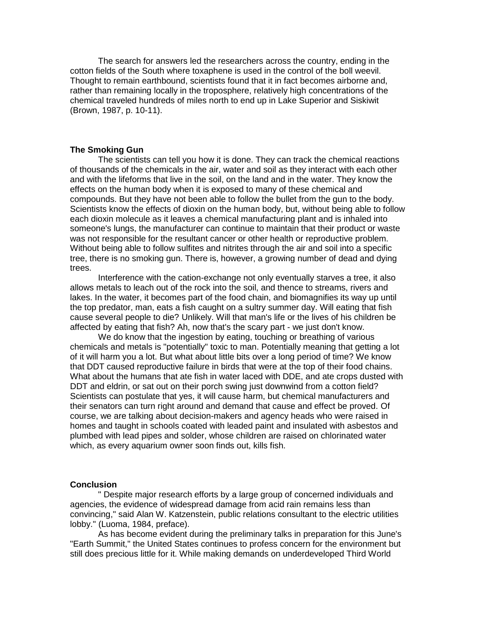The search for answers led the researchers across the country, ending in the cotton fields of the South where toxaphene is used in the control of the boll weevil. Thought to remain earthbound, scientists found that it in fact becomes airborne and, rather than remaining locally in the troposphere, relatively high concentrations of the chemical traveled hundreds of miles north to end up in Lake Superior and Siskiwit (Brown, 1987, p. 10-11).

## **The Smoking Gun**

The scientists can tell you how it is done. They can track the chemical reactions of thousands of the chemicals in the air, water and soil as they interact with each other and with the lifeforms that live in the soil, on the land and in the water. They know the effects on the human body when it is exposed to many of these chemical and compounds. But they have not been able to follow the bullet from the gun to the body. Scientists know the effects of dioxin on the human body, but, without being able to follow each dioxin molecule as it leaves a chemical manufacturing plant and is inhaled into someone's lungs, the manufacturer can continue to maintain that their product or waste was not responsible for the resultant cancer or other health or reproductive problem. Without being able to follow sulfites and nitrites through the air and soil into a specific tree, there is no smoking gun. There is, however, a growing number of dead and dying trees.

Interference with the cation-exchange not only eventually starves a tree, it also allows metals to leach out of the rock into the soil, and thence to streams, rivers and lakes. In the water, it becomes part of the food chain, and biomagnifies its way up until the top predator, man, eats a fish caught on a sultry summer day. Will eating that fish cause several people to die? Unlikely. Will that man's life or the lives of his children be affected by eating that fish? Ah, now that's the scary part - we just don't know.

We do know that the ingestion by eating, touching or breathing of various chemicals and metals is "potentially" toxic to man. Potentially meaning that getting a lot of it will harm you a lot. But what about little bits over a long period of time? We know that DDT caused reproductive failure in birds that were at the top of their food chains. What about the humans that ate fish in water laced with DDE, and ate crops dusted with DDT and eldrin, or sat out on their porch swing just downwind from a cotton field? Scientists can postulate that yes, it will cause harm, but chemical manufacturers and their senators can turn right around and demand that cause and effect be proved. Of course, we are talking about decision-makers and agency heads who were raised in homes and taught in schools coated with leaded paint and insulated with asbestos and plumbed with lead pipes and solder, whose children are raised on chlorinated water which, as every aquarium owner soon finds out, kills fish.

## **Conclusion**

" Despite major research efforts by a large group of concerned individuals and agencies, the evidence of widespread damage from acid rain remains less than convincing," said Alan W. Katzenstein, public relations consultant to the electric utilities lobby." (Luoma, 1984, preface).

As has become evident during the preliminary talks in preparation for this June's "Earth Summit," the United States continues to profess concern for the environment but still does precious little for it. While making demands on underdeveloped Third World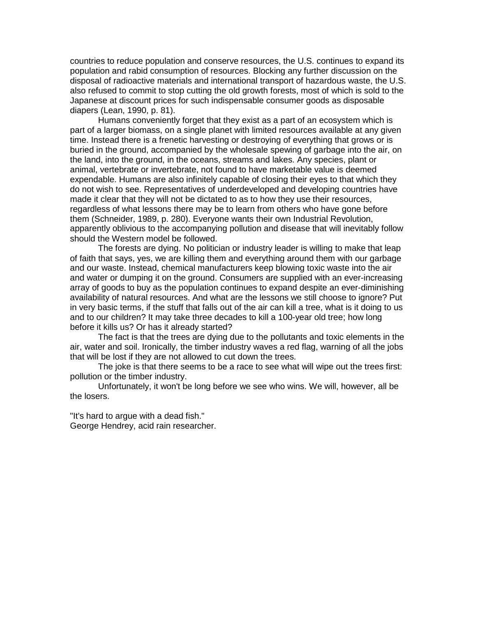countries to reduce population and conserve resources, the U.S. continues to expand its population and rabid consumption of resources. Blocking any further discussion on the disposal of radioactive materials and international transport of hazardous waste, the U.S. also refused to commit to stop cutting the old growth forests, most of which is sold to the Japanese at discount prices for such indispensable consumer goods as disposable diapers (Lean, 1990, p. 81).

Humans conveniently forget that they exist as a part of an ecosystem which is part of a larger biomass, on a single planet with limited resources available at any given time. Instead there is a frenetic harvesting or destroying of everything that grows or is buried in the ground, accompanied by the wholesale spewing of garbage into the air, on the land, into the ground, in the oceans, streams and lakes. Any species, plant or animal, vertebrate or invertebrate, not found to have marketable value is deemed expendable. Humans are also infinitely capable of closing their eyes to that which they do not wish to see. Representatives of underdeveloped and developing countries have made it clear that they will not be dictated to as to how they use their resources, regardless of what lessons there may be to learn from others who have gone before them (Schneider, 1989, p. 280). Everyone wants their own Industrial Revolution, apparently oblivious to the accompanying pollution and disease that will inevitably follow should the Western model be followed.

The forests are dying. No politician or industry leader is willing to make that leap of faith that says, yes, we are killing them and everything around them with our garbage and our waste. Instead, chemical manufacturers keep blowing toxic waste into the air and water or dumping it on the ground. Consumers are supplied with an ever-increasing array of goods to buy as the population continues to expand despite an ever-diminishing availability of natural resources. And what are the lessons we still choose to ignore? Put in very basic terms, if the stuff that falls out of the air can kill a tree, what is it doing to us and to our children? It may take three decades to kill a 100-year old tree; how long before it kills us? Or has it already started?

The fact is that the trees are dying due to the pollutants and toxic elements in the air, water and soil. Ironically, the timber industry waves a red flag, warning of all the jobs that will be lost if they are not allowed to cut down the trees.

The joke is that there seems to be a race to see what will wipe out the trees first: pollution or the timber industry.

Unfortunately, it won't be long before we see who wins. We will, however, all be the losers.

"It's hard to argue with a dead fish." George Hendrey, acid rain researcher.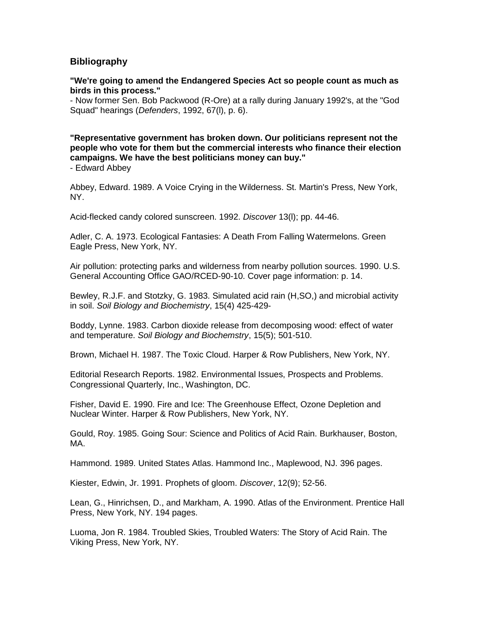# **Bibliography**

**"We're going to amend the Endangered Species Act so people count as much as birds in this process."**

- Now former Sen. Bob Packwood (R-Ore) at a rally during January 1992's, at the "God Squad" hearings (*Defenders*, 1992, 67(l), p. 6).

**"Representative government has broken down. Our politicians represent not the people who vote for them but the commercial interests who finance their election campaigns. We have the best politicians money can buy."**

- Edward Abbey

Abbey, Edward. 1989. A Voice Crying in the Wilderness. St. Martin's Press, New York, NY.

Acid-flecked candy colored sunscreen. 1992. *Discover* 13(l); pp. 44-46.

Adler, C. A. 1973. Ecological Fantasies: A Death From Falling Watermelons. Green Eagle Press, New York, NY.

Air pollution: protecting parks and wilderness from nearby pollution sources. 1990. U.S. General Accounting Office GAO/RCED-90-10. Cover page information: p. 14.

Bewley, R.J.F. and Stotzky, G. 1983. Simulated acid rain (H,SO,) and microbial activity in soil. *Soil Biology and Biochemistry*, 15(4) 425-429-

Boddy, Lynne. 1983. Carbon dioxide release from decomposing wood: effect of water and temperature. *Soil Biology and Biochemstry*, 15(5); 501-510.

Brown, Michael H. 1987. The Toxic Cloud. Harper & Row Publishers, New York, NY.

Editorial Research Reports. 1982. Environmental Issues, Prospects and Problems. Congressional Quarterly, Inc., Washington, DC.

Fisher, David E. 1990. Fire and Ice: The Greenhouse Effect, Ozone Depletion and Nuclear Winter. Harper & Row Publishers, New York, NY.

Gould, Roy. 1985. Going Sour: Science and Politics of Acid Rain. Burkhauser, Boston, MA.

Hammond. 1989. United States Atlas. Hammond Inc., Maplewood, NJ. 396 pages.

Kiester, Edwin, Jr. 1991. Prophets of gloom. *Discover*, 12(9); 52-56.

Lean, G., Hinrichsen, D., and Markham, A. 1990. Atlas of the Environment. Prentice Hall Press, New York, NY. 194 pages.

Luoma, Jon R. 1984. Troubled Skies, Troubled Waters: The Story of Acid Rain. The Viking Press, New York, NY.